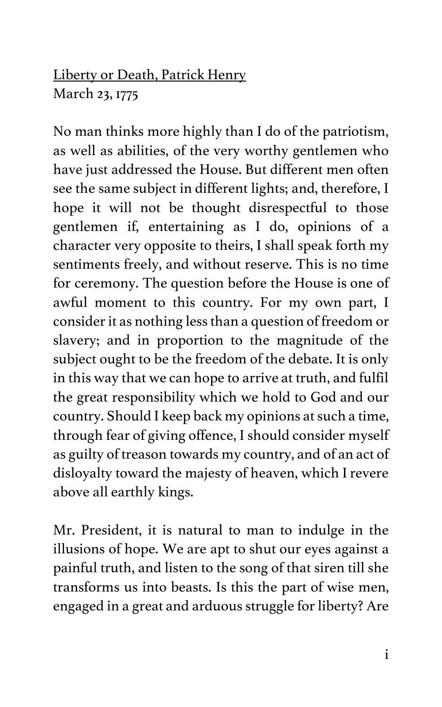## Liberty or Death, Patrick Henry March 23, 1775

No man thinks more highly than I do of the patriotism, as well as abilities, of the very worthy gentlemen who have just addressed the House. But different men often see the same subject in different lights; and, therefore, I hope it will not be thought disrespectful to those gentlemen if, entertaining as I do, opinions of a character very opposite to theirs, I shall speak forth my sentiments freely, and without reserve. This is no time for ceremony. The question before the House is one of awful moment to this country. For my own part, I consider it as nothing less than a question of freedom or slavery; and in proportion to the magnitude of the subject ought to be the freedom of the debate. It is only in this way that we can hope to arrive at truth, and fulfil the great responsibility which we hold to God and our country. Should I keep back my opinions at such a time, through fear of giving offence, I should consider myself as guilty of treason towards my country, and of an act of disloyalty toward the majesty of heaven, which I revere above all earthly kings.

Mr. President, it is natural to man to indulge in the illusions of hope. We are apt to shut our eyes against a painful truth, and listen to the song of that siren till she transforms us into beasts. Is this the part of wise men, engaged in a great and arduous struggle for liberty? Are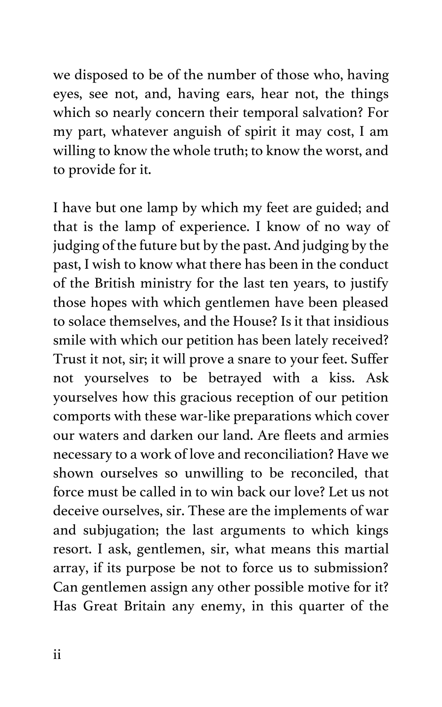we disposed to be of the number of those who, having eyes, see not, and, having ears, hear not, the things which so nearly concern their temporal salvation? For my part, whatever anguish of spirit it may cost, I am willing to know the whole truth; to know the worst, and to provide for it.

I have but one lamp by which my feet are guided; and that is the lamp of experience. I know of no way of judging of the future but by the past. And judging by the past, I wish to know what there has been in the conduct of the British ministry for the last ten years, to justify those hopes with which gentlemen have been pleased to solace themselves, and the House? Is it that insidious smile with which our petition has been lately received? Trust it not, sir; it will prove a snare to your feet. Suffer not yourselves to be betrayed with a kiss. Ask yourselves how this gracious reception of our petition comports with these war-like preparations which cover our waters and darken our land. Are fleets and armies necessary to a work of love and reconciliation? Have we shown ourselves so unwilling to be reconciled, that force must be called in to win back our love? Let us not deceive ourselves, sir. These are the implements of war and subjugation; the last arguments to which kings resort. I ask, gentlemen, sir, what means this martial array, if its purpose be not to force us to submission? Can gentlemen assign any other possible motive for it? Has Great Britain any enemy, in this quarter of the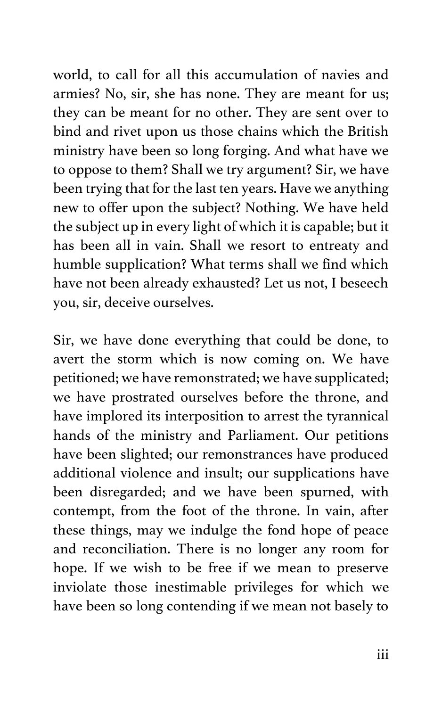world, to call for all this accumulation of navies and armies? No, sir, she has none. They are meant for us; they can be meant for no other. They are sent over to bind and rivet upon us those chains which the British ministry have been so long forging. And what have we to oppose to them? Shall we try argument? Sir, we have been trying that for the last ten years. Have we anything new to offer upon the subject? Nothing. We have held the subject up in every light of which it is capable; but it has been all in vain. Shall we resort to entreaty and humble supplication? What terms shall we find which have not been already exhausted? Let us not, I beseech you, sir, deceive ourselves.

Sir, we have done everything that could be done, to avert the storm which is now coming on. We have petitioned; we have remonstrated; we have supplicated; we have prostrated ourselves before the throne, and have implored its interposition to arrest the tyrannical hands of the ministry and Parliament. Our petitions have been slighted; our remonstrances have produced additional violence and insult; our supplications have been disregarded; and we have been spurned, with contempt, from the foot of the throne. In vain, after these things, may we indulge the fond hope of peace and reconciliation. There is no longer any room for hope. If we wish to be free if we mean to preserve inviolate those inestimable privileges for which we have been so long contending if we mean not basely to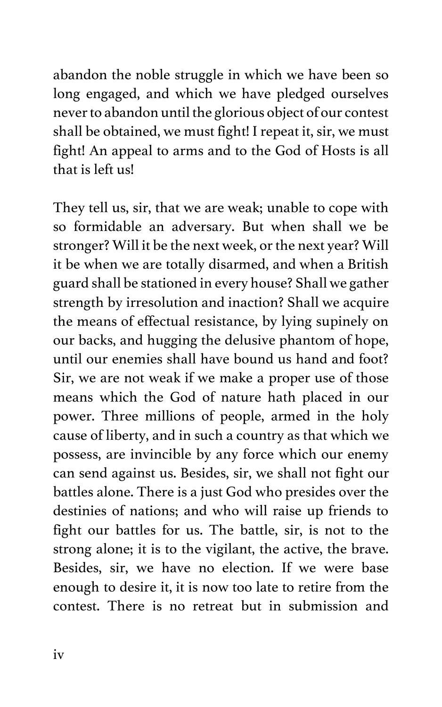abandon the noble struggle in which we have been so long engaged, and which we have pledged ourselves never to abandon until the glorious object of our contest shall be obtained, we must fight! I repeat it, sir, we must fight! An appeal to arms and to the God of Hosts is all that is left us!

They tell us, sir, that we are weak; unable to cope with so formidable an adversary. But when shall we be stronger? Will it be the next week, or the next year? Will it be when we are totally disarmed, and when a British guard shall be stationed in every house? Shall we gather strength by irresolution and inaction? Shall we acquire the means of effectual resistance, by lying supinely on our backs, and hugging the delusive phantom of hope, until our enemies shall have bound us hand and foot? Sir, we are not weak if we make a proper use of those means which the God of nature hath placed in our power. Three millions of people, armed in the holy cause of liberty, and in such a country as that which we possess, are invincible by any force which our enemy can send against us. Besides, sir, we shall not fight our battles alone. There is a just God who presides over the destinies of nations; and who will raise up friends to fight our battles for us. The battle, sir, is not to the strong alone; it is to the vigilant, the active, the brave. Besides, sir, we have no election. If we were base enough to desire it, it is now too late to retire from the contest. There is no retreat but in submission and